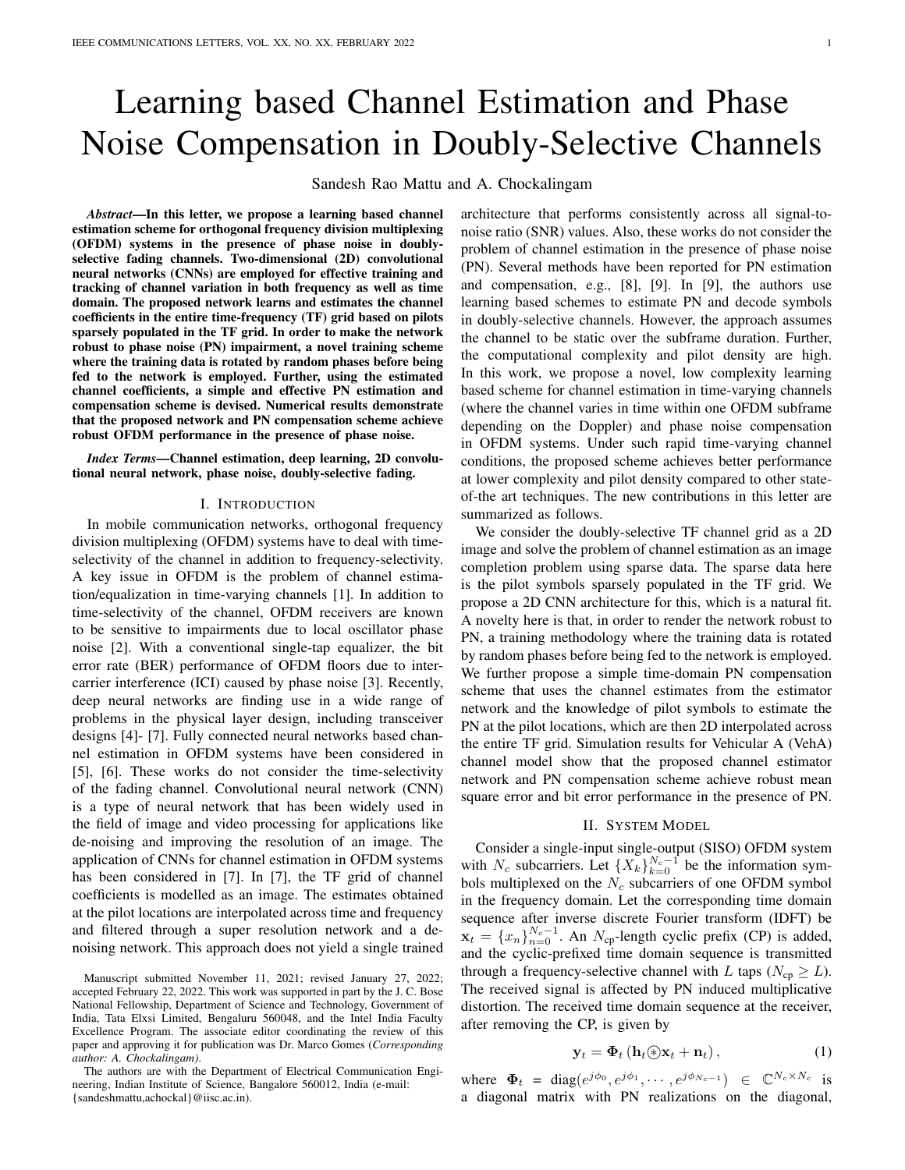# Learning based Channel Estimation and Phase Noise Compensation in Doubly-Selective Channels

Sandesh Rao Mattu and A. Chockalingam

*Abstract*—In this letter, we propose a learning based channel estimation scheme for orthogonal frequency division multiplexing (OFDM) systems in the presence of phase noise in doublyselective fading channels. Two-dimensional (2D) convolutional neural networks (CNNs) are employed for effective training and tracking of channel variation in both frequency as well as time domain. The proposed network learns and estimates the channel coefficients in the entire time-frequency (TF) grid based on pilots sparsely populated in the TF grid. In order to make the network robust to phase noise (PN) impairment, a novel training scheme where the training data is rotated by random phases before being fed to the network is employed. Further, using the estimated channel coefficients, a simple and effective PN estimation and compensation scheme is devised. Numerical results demonstrate that the proposed network and PN compensation scheme achieve robust OFDM performance in the presence of phase noise.

*Index Terms*—Channel estimation, deep learning, 2D convolutional neural network, phase noise, doubly-selective fading.

### I. INTRODUCTION

In mobile communication networks, orthogonal frequency division multiplexing (OFDM) systems have to deal with timeselectivity of the channel in addition to frequency-selectivity. A key issue in OFDM is the problem of channel estimation/equalization in time-varying channels [1]. In addition to time-selectivity of the channel, OFDM receivers are known to be sensitive to impairments due to local oscillator phase noise [2]. With a conventional single-tap equalizer, the bit error rate (BER) performance of OFDM floors due to intercarrier interference (ICI) caused by phase noise [3]. Recently, deep neural networks are finding use in a wide range of problems in the physical layer design, including transceiver designs [4]- [7]. Fully connected neural networks based channel estimation in OFDM systems have been considered in [5], [6]. These works do not consider the time-selectivity of the fading channel. Convolutional neural network (CNN) is a type of neural network that has been widely used in the field of image and video processing for applications like de-noising and improving the resolution of an image. The application of CNNs for channel estimation in OFDM systems has been considered in [7]. In [7], the TF grid of channel coefficients is modelled as an image. The estimates obtained at the pilot locations are interpolated across time and frequency and filtered through a super resolution network and a denoising network. This approach does not yield a single trained

Manuscript submitted November 11, 2021; revised January 27, 2022; accepted February 22, 2022. This work was supported in part by the J. C. Bose National Fellowship, Department of Science and Technology, Government of India, Tata Elxsi Limited, Bengaluru 560048, and the Intel India Faculty Excellence Program. The associate editor coordinating the review of this paper and approving it for publication was Dr. Marco Gomes (*Corresponding author: A. Chockalingam)*.

The authors are with the Department of Electrical Communication Engineering, Indian Institute of Science, Bangalore 560012, India (e-mail: {sandeshmattu,achockal}@iisc.ac.in).

architecture that performs consistently across all signal-tonoise ratio (SNR) values. Also, these works do not consider the problem of channel estimation in the presence of phase noise (PN). Several methods have been reported for PN estimation and compensation, e.g., [8], [9]. In [9], the authors use learning based schemes to estimate PN and decode symbols in doubly-selective channels. However, the approach assumes the channel to be static over the subframe duration. Further, the computational complexity and pilot density are high. In this work, we propose a novel, low complexity learning based scheme for channel estimation in time-varying channels (where the channel varies in time within one OFDM subframe depending on the Doppler) and phase noise compensation in OFDM systems. Under such rapid time-varying channel conditions, the proposed scheme achieves better performance at lower complexity and pilot density compared to other stateof-the art techniques. The new contributions in this letter are summarized as follows.

We consider the doubly-selective TF channel grid as a 2D image and solve the problem of channel estimation as an image completion problem using sparse data. The sparse data here is the pilot symbols sparsely populated in the TF grid. We propose a 2D CNN architecture for this, which is a natural fit. A novelty here is that, in order to render the network robust to PN, a training methodology where the training data is rotated by random phases before being fed to the network is employed. We further propose a simple time-domain PN compensation scheme that uses the channel estimates from the estimator network and the knowledge of pilot symbols to estimate the PN at the pilot locations, which are then 2D interpolated across the entire TF grid. Simulation results for Vehicular A (VehA) channel model show that the proposed channel estimator network and PN compensation scheme achieve robust mean square error and bit error performance in the presence of PN.

#### II. SYSTEM MODEL

Consider a single-input single-output (SISO) OFDM system with  $N_c$  subcarriers. Let  $\{X_k\}_{k=0}^{N_c-1}$  be the information symbols multiplexed on the  $N_c$  subcarriers of one OFDM symbol in the frequency domain. Let the corresponding time domain sequence after inverse discrete Fourier transform (IDFT) be  $\mathbf{x}_t = \{x_n\}_{n=0}^{N_c-1}$ . An  $N_{cp}$ -length cyclic prefix (CP) is added, and the cyclic-prefixed time domain sequence is transmitted through a frequency-selective channel with L taps ( $N_{cp} \geq L$ ). The received signal is affected by PN induced multiplicative distortion. The received time domain sequence at the receiver, after removing the CP, is given by

$$
\mathbf{y}_t = \mathbf{\Phi}_t \left( \mathbf{h}_t \circledast \mathbf{x}_t + \mathbf{n}_t \right), \tag{1}
$$

where  $\Phi_t = \text{diag}(e^{j\phi_0}, e^{j\phi_1}, \dots, e^{j\phi_{N_c-1}}) \in \mathbb{C}^{N_c \times N_c}$  is a diagonal matrix with PN realizations on the diagonal,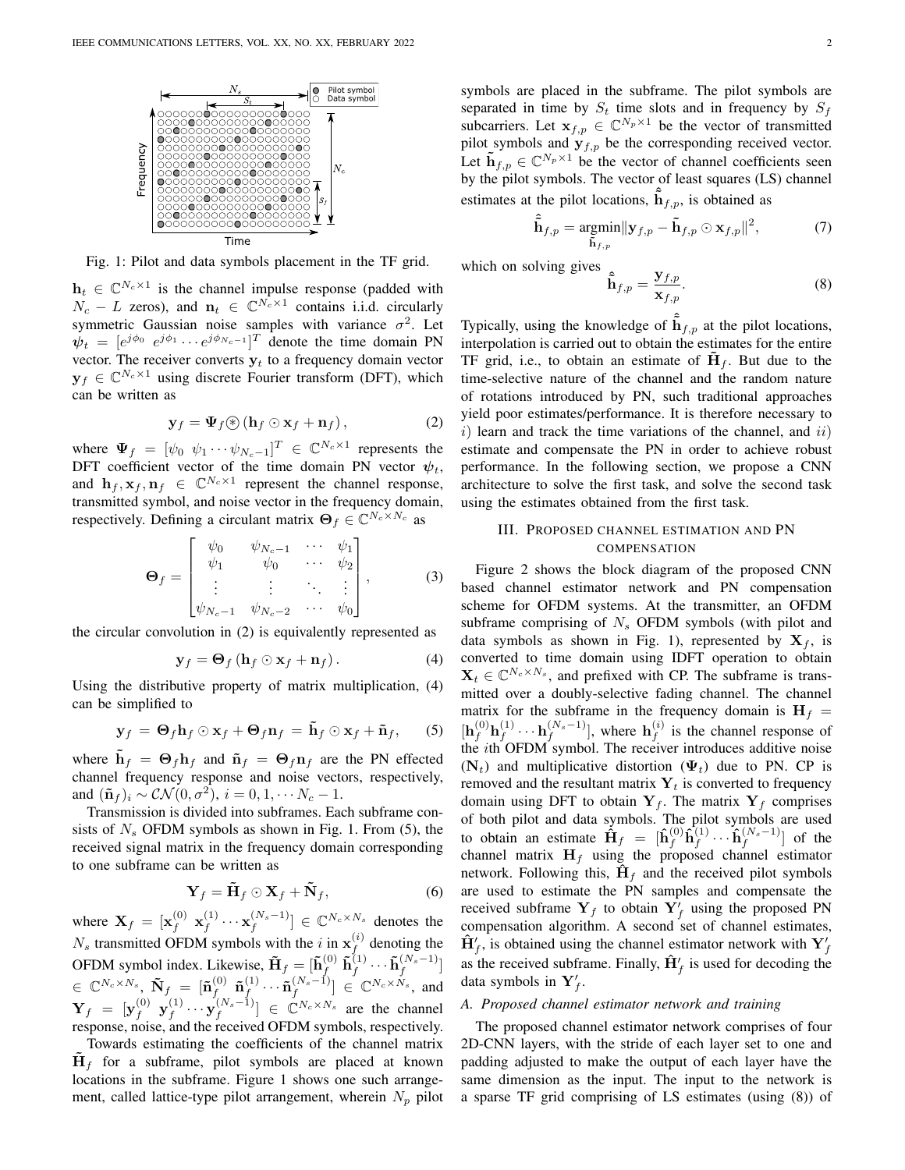

Fig. 1: Pilot and data symbols placement in the TF grid.

 $h_t \in \mathbb{C}^{N_c \times 1}$  is the channel impulse response (padded with  $N_c - L$  zeros), and  $n_t \in \mathbb{C}^{N_c \times 1}$  contains i.i.d. circularly symmetric Gaussian noise samples with variance  $\sigma^2$ . Let  $\psi_t = [e^{j\phi_0} \ e^{j\phi_1} \cdots e^{j\phi_{N_c-1}}]^T$  denote the time domain PN vector. The receiver converts  $y_t$  to a frequency domain vector  $y_f \in \mathbb{C}^{N_c \times 1}$  using discrete Fourier transform (DFT), which can be written as

$$
\mathbf{y}_f = \mathbf{\Psi}_f \circledast (\mathbf{h}_f \odot \mathbf{x}_f + \mathbf{n}_f), \tag{2}
$$

where  $\Psi_f = [\psi_0 \; \psi_1 \cdots \psi_{N_c-1}]^T \in \mathbb{C}^{N_c \times 1}$  represents the DFT coefficient vector of the time domain PN vector  $\psi_t$ , and  $\mathbf{h}_f, \mathbf{x}_f, \mathbf{n}_f \in \mathbb{C}^{N_c \times 1}$  represent the channel response, transmitted symbol, and noise vector in the frequency domain, respectively. Defining a circulant matrix  $\mathbf{\Theta}_f \in \mathbb{C}^{N_c \times N_c}$  as

$$
\mathbf{\Theta}_{f} = \begin{bmatrix} \psi_{0} & \psi_{N_c-1} & \cdots & \psi_{1} \\ \psi_{1} & \psi_{0} & \cdots & \psi_{2} \\ \vdots & \vdots & \ddots & \vdots \\ \psi_{N_c-1} & \psi_{N_c-2} & \cdots & \psi_{0} \end{bmatrix}, \quad (3)
$$

the circular convolution in (2) is equivalently represented as

$$
\mathbf{y}_f = \mathbf{\Theta}_f \left( \mathbf{h}_f \odot \mathbf{x}_f + \mathbf{n}_f \right). \tag{4}
$$

Using the distributive property of matrix multiplication, (4) can be simplified to

$$
\mathbf{y}_f = \mathbf{\Theta}_f \mathbf{h}_f \odot \mathbf{x}_f + \mathbf{\Theta}_f \mathbf{n}_f = \tilde{\mathbf{h}}_f \odot \mathbf{x}_f + \tilde{\mathbf{n}}_f, \qquad (5)
$$

where  $h_f = \Theta_f h_f$  and  $\tilde{n}_f = \Theta_f n_f$  are the PN effected channel frequency response and noise vectors, respectively, and  $(\tilde{\mathbf{n}}_f)_i \sim \mathcal{CN}(0, \sigma^2), i = 0, 1, \cdots N_c - 1.$ 

Transmission is divided into subframes. Each subframe consists of  $N<sub>s</sub>$  OFDM symbols as shown in Fig. 1. From (5), the received signal matrix in the frequency domain corresponding to one subframe can be written as

$$
\mathbf{Y}_f = \tilde{\mathbf{H}}_f \odot \mathbf{X}_f + \tilde{\mathbf{N}}_f, \tag{6}
$$

where  $\mathbf{X}_f = [\mathbf{x}_f^{(0)} \; \mathbf{x}_f^{(1)}]$  $\left( \begin{smallmatrix} (1) & \cdots & \mathbf{x} \end{smallmatrix} \right) \in \mathbb{C}^{N_c \times N_s}$  denotes the  $N_s$  transmitted OFDM symbols with the i in  $\mathbf{x}_f^{(i)}$  denoting the For a constructed STDM symbols with the leads  $\tilde{\mathbf{H}}_f = [\tilde{\mathbf{h}}_f^{(0)} \tilde{\mathbf{h}}_f^{(1)} \cdots \tilde{\mathbf{h}}_f^{(N_s-1)}]$  $\in \ \mathbb{C}^{N_c \times N_s}, \ \tilde{\textbf{N}}_f \ = \ [\tilde{\textbf{n}}_f^{(0)}$  $\begin{matrix} &0\end{matrix}\begin{matrix} &\mathbf{\tilde{n}}^{(1)}_f\end{matrix}$  $\left( \begin{smallmatrix} (1) & \cdots & \tilde{\mathbf{n}} \ f^{(N_s-1)} \end{smallmatrix} \right) \in \mathbb{C}^{N_c \times N_s}$ , and  $\mathbf{Y}_f \;=\; [\mathbf{y}_f^{(0)} \;\; \mathbf{y}_f^{(1)}$  $\left[\begin{array}{c} (1) \cdots y_f^{(N_s-1)} \end{array}\right] \in \mathbb{C}^{N_c \times N_s}$  are the channel response, noise, and the received OFDM symbols, respectively.

Towards estimating the coefficients of the channel matrix  $H_f$  for a subframe, pilot symbols are placed at known locations in the subframe. Figure 1 shows one such arrangement, called lattice-type pilot arrangement, wherein  $N_p$  pilot symbols are placed in the subframe. The pilot symbols are separated in time by  $S_t$  time slots and in frequency by  $S_t$ subcarriers. Let  $x_{f,p} \in \mathbb{C}^{N_p \times 1}$  be the vector of transmitted pilot symbols and  $\mathbf{y}_{f,p}$  be the corresponding received vector. Let  $\tilde{\mathbf{h}}_{f,p} \in \mathbb{C}^{N_p \times 1}$  be the vector of channel coefficients seen by the pilot symbols. The vector of least squares (LS) channel estimates at the pilot locations,  $\hat{h}_{f,p}$ , is obtained as

$$
\hat{\tilde{\mathbf{h}}}_{f,p} = \underset{\tilde{\mathbf{h}}_{f,p}}{\operatorname{argmin}} ||\mathbf{y}_{f,p} - \tilde{\mathbf{h}}_{f,p} \odot \mathbf{x}_{f,p}||^2, \tag{7}
$$

which on solving gives

$$
\hat{\tilde{\mathbf{h}}}_{f,p} = \frac{\mathbf{y}_{f,p}}{\mathbf{x}_{f,p}}.\tag{8}
$$

Typically, using the knowledge of  $\hat{h}_{f,p}$  at the pilot locations, interpolation is carried out to obtain the estimates for the entire TF grid, i.e., to obtain an estimate of  $H_f$ . But due to the time-selective nature of the channel and the random nature of rotations introduced by PN, such traditional approaches yield poor estimates/performance. It is therefore necessary to  $i)$  learn and track the time variations of the channel, and  $ii)$ estimate and compensate the PN in order to achieve robust performance. In the following section, we propose a CNN architecture to solve the first task, and solve the second task using the estimates obtained from the first task.

## III. PROPOSED CHANNEL ESTIMATION AND PN COMPENSATION

Figure 2 shows the block diagram of the proposed CNN based channel estimator network and PN compensation scheme for OFDM systems. At the transmitter, an OFDM subframe comprising of  $N<sub>s</sub>$  OFDM symbols (with pilot and data symbols as shown in Fig. 1), represented by  $X_f$ , is converted to time domain using IDFT operation to obtain  $\mathbf{X}_t \in \mathbb{C}^{N_c \times N_s}$ , and prefixed with CP. The subframe is transmitted over a doubly-selective fading channel. The channel matrix for the subframe in the frequency domain is  $H_f$  =  $[\mathbf{h}_f^{(0)} \mathbf{h}_f^{(1)}]$  $\mathbf{h}_f^{(1)} \cdots \mathbf{h}_f^{(N_s-1)}$ , where  $\mathbf{h}_f^{(i)}$  $\int_{f}^{(t)}$  is the channel response of the ith OFDM symbol. The receiver introduces additive noise  $(N_t)$  and multiplicative distortion  $(\Psi_t)$  due to PN. CP is removed and the resultant matrix  $Y_t$  is converted to frequency domain using DFT to obtain  $Y_f$ . The matrix  $Y_f$  comprises of both pilot and data symbols. The pilot symbols are used to obtain an estimate  $\hat{\mathbf{H}}_f = [\hat{\mathbf{h}}_f^{(0)} \hat{\mathbf{h}}_f^{(1)} \cdots \hat{\mathbf{h}}_f^{(N_s-1)}]$  of the channel matrix  $H_f$  using the proposed channel estimator network. Following this,  $\mathbf{H}_f$  and the received pilot symbols are used to estimate the PN samples and compensate the received subframe  $Y_f$  to obtain  $Y'_f$  using the proposed PN compensation algorithm. A second set of channel estimates,  $\hat{H}'_f$ , is obtained using the channel estimator network with  $Y'_f$ as the received subframe. Finally,  $\hat{H}'_f$  is used for decoding the data symbols in  $Y'_f$ .

#### *A. Proposed channel estimator network and training*

The proposed channel estimator network comprises of four 2D-CNN layers, with the stride of each layer set to one and padding adjusted to make the output of each layer have the same dimension as the input. The input to the network is a sparse TF grid comprising of LS estimates (using (8)) of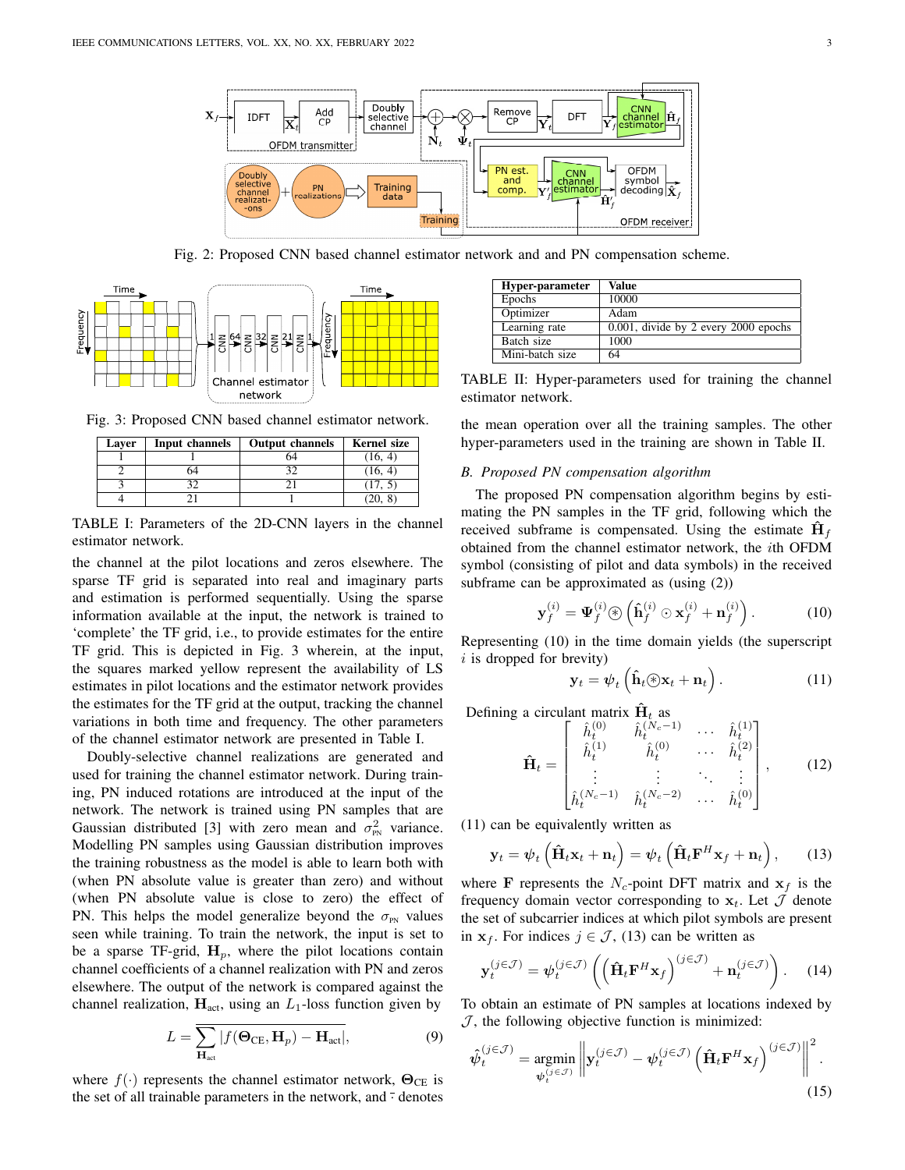

Fig. 2: Proposed CNN based channel estimator network and and PN compensation scheme.



Fig. 3: Proposed CNN based channel estimator network.

| Laver | Input channels | <b>Output channels</b> | <b>Kernel</b> size |
|-------|----------------|------------------------|--------------------|
|       |                |                        | (16, 4)            |
|       | 54             |                        | (16, 4)            |
|       |                |                        | (17, 5)            |
|       |                |                        |                    |

TABLE I: Parameters of the 2D-CNN layers in the channel estimator network.

the channel at the pilot locations and zeros elsewhere. The sparse TF grid is separated into real and imaginary parts and estimation is performed sequentially. Using the sparse information available at the input, the network is trained to 'complete' the TF grid, i.e., to provide estimates for the entire TF grid. This is depicted in Fig. 3 wherein, at the input, the squares marked yellow represent the availability of LS estimates in pilot locations and the estimator network provides the estimates for the TF grid at the output, tracking the channel variations in both time and frequency. The other parameters of the channel estimator network are presented in Table I.

Doubly-selective channel realizations are generated and used for training the channel estimator network. During training, PN induced rotations are introduced at the input of the network. The network is trained using PN samples that are Gaussian distributed [3] with zero mean and  $\sigma_{\text{PN}}^2$  variance. Modelling PN samples using Gaussian distribution improves the training robustness as the model is able to learn both with (when PN absolute value is greater than zero) and without (when PN absolute value is close to zero) the effect of PN. This helps the model generalize beyond the  $\sigma_{PN}$  values seen while training. To train the network, the input is set to be a sparse TF-grid,  $H_p$ , where the pilot locations contain channel coefficients of a channel realization with PN and zeros elsewhere. The output of the network is compared against the channel realization,  $H_{\text{act}}$ , using an  $L_1$ -loss function given by

$$
L = \sum_{\mathbf{H}_{\text{act}}} |f(\mathbf{\Theta}_{\text{CE}}, \mathbf{H}_p) - \mathbf{H}_{\text{act}}|,
$$
(9)

where  $f(\cdot)$  represents the channel estimator network,  $\Theta_{CE}$  is the set of all trainable parameters in the network, and  $\overline{\cdot}$  denotes

| Hyper-parameter | Value                                   |
|-----------------|-----------------------------------------|
| Epochs          | 10000                                   |
| Optimizer       | Adam                                    |
| Learning rate   | $0.001$ , divide by 2 every 2000 epochs |
| Batch size      | 1000                                    |
| Mini-batch size | 64                                      |

TABLE II: Hyper-parameters used for training the channel estimator network.

the mean operation over all the training samples. The other hyper-parameters used in the training are shown in Table II.

## *B. Proposed PN compensation algorithm*

The proposed PN compensation algorithm begins by estimating the PN samples in the TF grid, following which the received subframe is compensated. Using the estimate  $\mathbf{H}_f$ obtained from the channel estimator network, the ith OFDM symbol (consisting of pilot and data symbols) in the received subframe can be approximated as (using (2))

$$
\mathbf{y}_f^{(i)} = \mathbf{\Psi}_f^{(i)} \circledast \left( \mathbf{\hat{h}}_f^{(i)} \odot \mathbf{x}_f^{(i)} + \mathbf{n}_f^{(i)} \right). \tag{10}
$$

Representing (10) in the time domain yields (the superscript  $i$  is dropped for brevity)

$$
\mathbf{y}_t = \psi_t \left( \hat{\mathbf{h}}_t \circledast \mathbf{x}_t + \mathbf{n}_t \right). \tag{11}
$$

Defining a circulant matrix  $H_t$  as

$$
\hat{\mathbf{H}}_{t} = \begin{bmatrix}\n\hat{h}_{t}^{(0)} & \hat{h}_{t}^{(N_c - 1)} & \cdots & \hat{h}_{t}^{(1)} \\
\hat{h}_{t}^{(1)} & \hat{h}_{t}^{(0)} & \cdots & \hat{h}_{t}^{(2)} \\
\vdots & \vdots & \ddots & \vdots \\
\hat{h}_{t}^{(N_c - 1)} & \hat{h}_{t}^{(N_c - 2)} & \cdots & \hat{h}_{t}^{(0)}\n\end{bmatrix},
$$
\n(12)

(11) can be equivalently written as

$$
\mathbf{y}_t = \psi_t \left( \hat{\mathbf{H}}_t \mathbf{x}_t + \mathbf{n}_t \right) = \psi_t \left( \hat{\mathbf{H}}_t \mathbf{F}^H \mathbf{x}_f + \mathbf{n}_t \right), \qquad (13)
$$

where **F** represents the  $N_c$ -point DFT matrix and  $x_f$  is the frequency domain vector corresponding to  $x_t$ . Let  $\mathcal J$  denote the set of subcarrier indices at which pilot symbols are present in  $x_f$ . For indices  $j \in \mathcal{J}$ , (13) can be written as

$$
\mathbf{y}_t^{(j\in\mathcal{J})} = \boldsymbol{\psi}_t^{(j\in\mathcal{J})} \left( \left( \hat{\mathbf{H}}_t \mathbf{F}^H \mathbf{x}_f \right)^{(j\in\mathcal{J})} + \mathbf{n}_t^{(j\in\mathcal{J})} \right). \tag{14}
$$

To obtain an estimate of PN samples at locations indexed by  $J$ , the following objective function is minimized:

$$
\hat{\psi}_t^{(j\in\mathcal{J})} = \underset{\psi_t^{(j\in\mathcal{J})}}{\text{argmin}} \left\| \mathbf{y}_t^{(j\in\mathcal{J})} - \psi_t^{(j\in\mathcal{J})} \left( \hat{\mathbf{H}}_t \mathbf{F}^H \mathbf{x}_f \right)^{(j\in\mathcal{J})} \right\|^2.
$$
\n(15)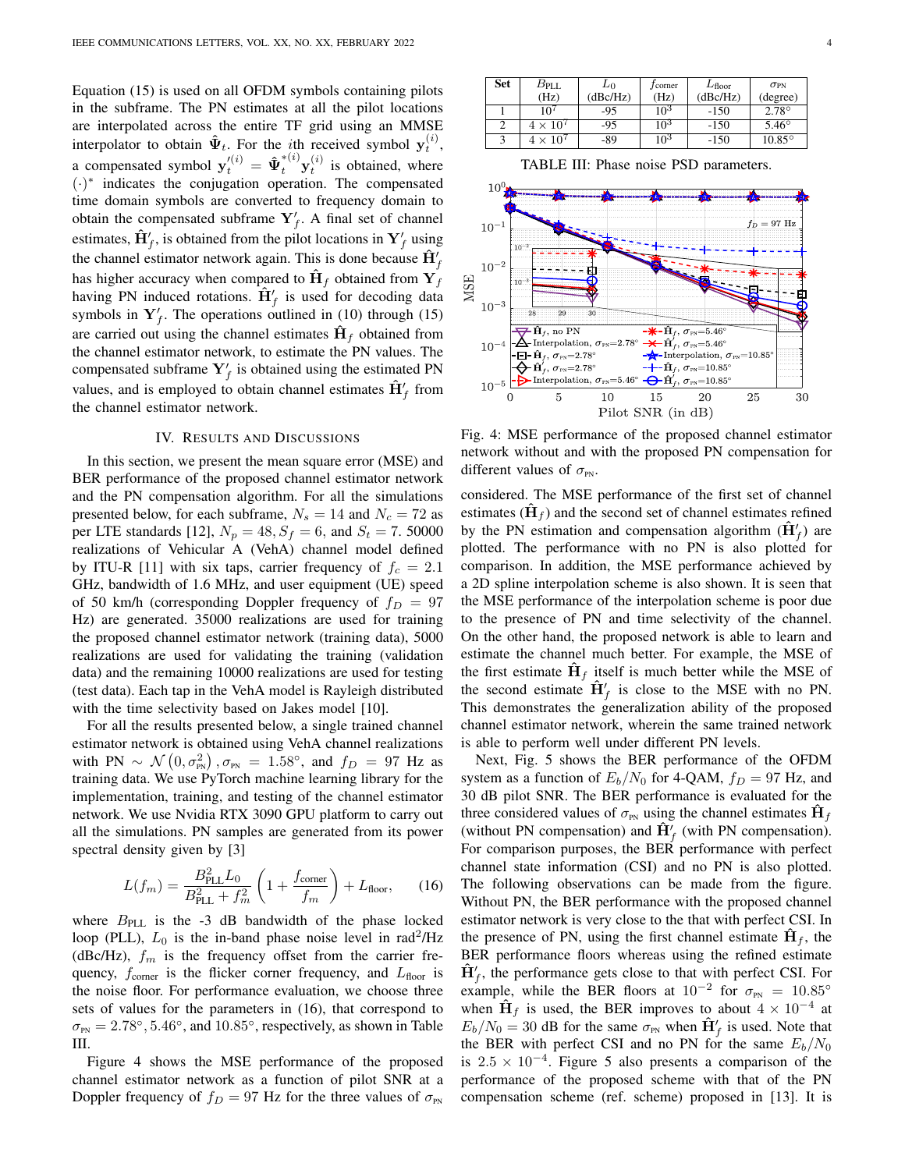Equation (15) is used on all OFDM symbols containing pilots in the subframe. The PN estimates at all the pilot locations are interpolated across the entire TF grid using an MMSE interpolator to obtain  $\hat{\Psi}_t$ . For the *i*th received symbol  $y_t^{(i)}$ , a compensated symbol  $y_t^{\prime(i)} = \hat{\Psi}_t^{*(i)} y_t^{(i)}$  is obtained, where (·) ∗ indicates the conjugation operation. The compensated time domain symbols are converted to frequency domain to obtain the compensated subframe  $Y'_f$ . A final set of channel estimates,  $\hat{\mathbf{H}}_f'$ , is obtained from the pilot locations in  $\mathbf{Y}_f'$  using the channel estimator network again. This is done because  $\hat{H}'_f$ has higher accuracy when compared to  $\mathbf{H}_f$  obtained from  $\mathbf{Y}_f$ having PN induced rotations.  $\hat{H}'_f$  is used for decoding data symbols in  $Y'_f$ . The operations outlined in (10) through (15) are carried out using the channel estimates  $\mathbf{H}_f$  obtained from the channel estimator network, to estimate the PN values. The compensated subframe  $Y'_f$  is obtained using the estimated PN values, and is employed to obtain channel estimates  $\hat{H}'_f$  from the channel estimator network.

#### IV. RESULTS AND DISCUSSIONS

In this section, we present the mean square error (MSE) and BER performance of the proposed channel estimator network and the PN compensation algorithm. For all the simulations presented below, for each subframe,  $N_s = 14$  and  $N_c = 72$  as per LTE standards [12],  $N_p = 48$ ,  $S_f = 6$ , and  $S_t = 7$ . 50000 realizations of Vehicular A (VehA) channel model defined by ITU-R [11] with six taps, carrier frequency of  $f_c = 2.1$ GHz, bandwidth of 1.6 MHz, and user equipment (UE) speed of 50 km/h (corresponding Doppler frequency of  $f_D = 97$ Hz) are generated. 35000 realizations are used for training the proposed channel estimator network (training data), 5000 realizations are used for validating the training (validation data) and the remaining 10000 realizations are used for testing (test data). Each tap in the VehA model is Rayleigh distributed with the time selectivity based on Jakes model [10].

For all the results presented below, a single trained channel estimator network is obtained using VehA channel realizations with PN  $\sim \mathcal{N}(0, \sigma_{PN}^2), \sigma_{PN} = 1.58^\circ$ , and  $f_D = 97$  Hz as training data. We use PyTorch machine learning library for the implementation, training, and testing of the channel estimator network. We use Nvidia RTX 3090 GPU platform to carry out all the simulations. PN samples are generated from its power spectral density given by [3]

$$
L(f_m) = \frac{B_{\text{PLL}}^2 L_0}{B_{\text{PLL}}^2 + f_m^2} \left( 1 + \frac{f_{\text{corner}}}{f_m} \right) + L_{\text{floor}},\qquad(16)
$$

where  $B<sub>PLL</sub>$  is the -3 dB bandwidth of the phase locked loop (PLL),  $L_0$  is the in-band phase noise level in rad<sup>2</sup>/Hz (dBc/Hz),  $f_m$  is the frequency offset from the carrier frequency,  $f_{\text{corner}}$  is the flicker corner frequency, and  $L_{\text{floor}}$  is the noise floor. For performance evaluation, we choose three sets of values for the parameters in (16), that correspond to  $\sigma_{\text{PN}} = 2.78^{\circ}, 5.46^{\circ}, \text{ and } 10.85^{\circ}, \text{ respectively, as shown in Table}$ III.

Figure 4 shows the MSE performance of the proposed channel estimator network as a function of pilot SNR at a Doppler frequency of  $f_D = 97$  Hz for the three values of  $\sigma_{PN}$ 

| Set | $B_{\rm{PLL}}$                | $L_0$    | <i>J</i> corner | $L_{\text{floor}}$ | $\sigma_{PN}$  |
|-----|-------------------------------|----------|-----------------|--------------------|----------------|
|     | (Hz)                          | (dBc/Hz) | (Hz)            | (dBc/Hz)           | (degree)       |
|     |                               | -95      | 10 <sup>3</sup> | $-150$             | $2.78^\circ$   |
|     | $4\times10^{\circ}$           | -95      | $10^{3}$        | $-150$             | $5.46^{\circ}$ |
|     | 10 <sup>7</sup><br>$4 \times$ | -89      | $10^{3}$        | $-150$             | $10.85^\circ$  |

TABLE III: Phase noise PSD parameters.



Fig. 4: MSE performance of the proposed channel estimator network without and with the proposed PN compensation for different values of  $\sigma_{\text{PN}}$ .

considered. The MSE performance of the first set of channel estimates ( $\mathbf{H}_f$ ) and the second set of channel estimates refined by the PN estimation and compensation algorithm  $(\hat{H}'_f)$  are plotted. The performance with no PN is also plotted for comparison. In addition, the MSE performance achieved by a 2D spline interpolation scheme is also shown. It is seen that the MSE performance of the interpolation scheme is poor due to the presence of PN and time selectivity of the channel. On the other hand, the proposed network is able to learn and estimate the channel much better. For example, the MSE of the first estimate  $\mathbf{H}_f$  itself is much better while the MSE of the second estimate  $\hat{H}'_f$  is close to the MSE with no PN. This demonstrates the generalization ability of the proposed channel estimator network, wherein the same trained network is able to perform well under different PN levels.

Next, Fig. 5 shows the BER performance of the OFDM system as a function of  $E_b/N_0$  for 4-QAM,  $f_D = 97$  Hz, and 30 dB pilot SNR. The BER performance is evaluated for the three considered values of  $\sigma_{\text{PN}}$  using the channel estimates  $\mathbf{H}_f$ (without PN compensation) and  $\hat{H}'_f$  (with PN compensation). For comparison purposes, the BER performance with perfect channel state information (CSI) and no PN is also plotted. The following observations can be made from the figure. Without PN, the BER performance with the proposed channel estimator network is very close to the that with perfect CSI. In the presence of PN, using the first channel estimate  $H_f$ , the BER performance floors whereas using the refined estimate  $\hat{H}'_f$ , the performance gets close to that with perfect CSI. For example, while the BER floors at  $10^{-2}$  for  $\sigma_{PN} = 10.85^{\circ}$ when  $\mathbf{\hat{H}}_f$  is used, the BER improves to about  $4 \times 10^{-4}$  at  $E_b/N_0 = 30$  dB for the same  $\sigma_{\text{PN}}$  when  $\hat{H}'_f$  is used. Note that the BER with perfect CSI and no PN for the same  $E_b/N_0$ is  $2.5 \times 10^{-4}$ . Figure 5 also presents a comparison of the performance of the proposed scheme with that of the PN compensation scheme (ref. scheme) proposed in [13]. It is